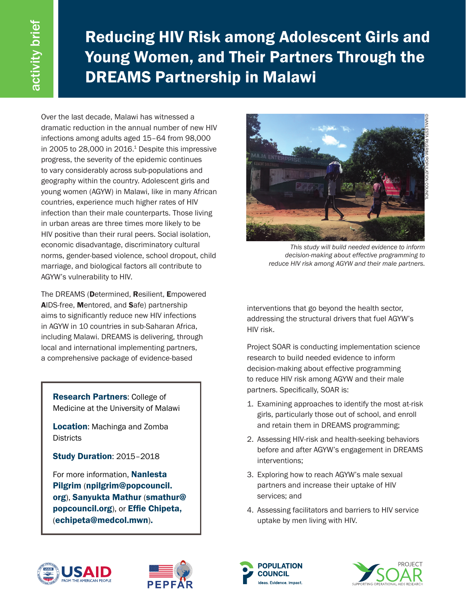Reducing HIV Risk among Adolescent Girls and Young Women, and Their Partners Through the DREAMS Partnership in Malawi

Over the last decade, Malawi has witnessed a dramatic reduction in the annual number of new HIV infections among adults aged 15–64 from 98,000 in 2005 to  $28,000$  in  $2016<sup>1</sup>$  Despite this impressive progress, the severity of the epidemic continues to vary considerably across sub-populations and geography within the country. Adolescent girls and young women (AGYW) in Malawi, like in many African countries, experience much higher rates of HIV infection than their male counterparts. Those living in urban areas are three times more likely to be HIV positive than their rural peers. Social isolation, economic disadvantage, discriminatory cultural norms, gender-based violence, school dropout, child marriage, and biological factors all contribute to AGYW's vulnerability to HIV.

The DREAMS (Determined, Resilient, Empowered AIDS-free, Mentored, and Safe) partnership aims to significantly reduce new HIV infections in AGYW in 10 countries in sub-Saharan Africa, including Malawi. DREAMS is delivering, through local and international implementing partners, a comprehensive package of evidence-based

Research Partners: College of Medicine at the University of Malawi

Location: Machinga and Zomba **Districts** 

Study Duration: 2015–2018

For more information. **Nanlesta** Pilgrim (npilgrim@popcouncil. org), Sanyukta Mathur (smathur@ popcouncil.org), or Effie Chipeta, (echipeta@medcol.mwn).



*This study will build needed evidence to inform decision-making about effective programming to reduce HIV risk among AGYW and their male partners.* 

interventions that go beyond the health sector, addressing the structural drivers that fuel AGYW's HIV risk.

Project SOAR is conducting implementation science research to build needed evidence to inform decision-making about effective programming to reduce HIV risk among AGYW and their male partners. Specifically, SOAR is:

- 1. Examining approaches to identify the most at-risk girls, particularly those out of school, and enroll and retain them in DREAMS programming;
- 2. Assessing HIV-risk and health-seeking behaviors before and after AGYW's engagement in DREAMS interventions;
- 3. Exploring how to reach AGYW's male sexual partners and increase their uptake of HIV services; and
- 4. Assessing facilitators and barriers to HIV service uptake by men living with HIV.